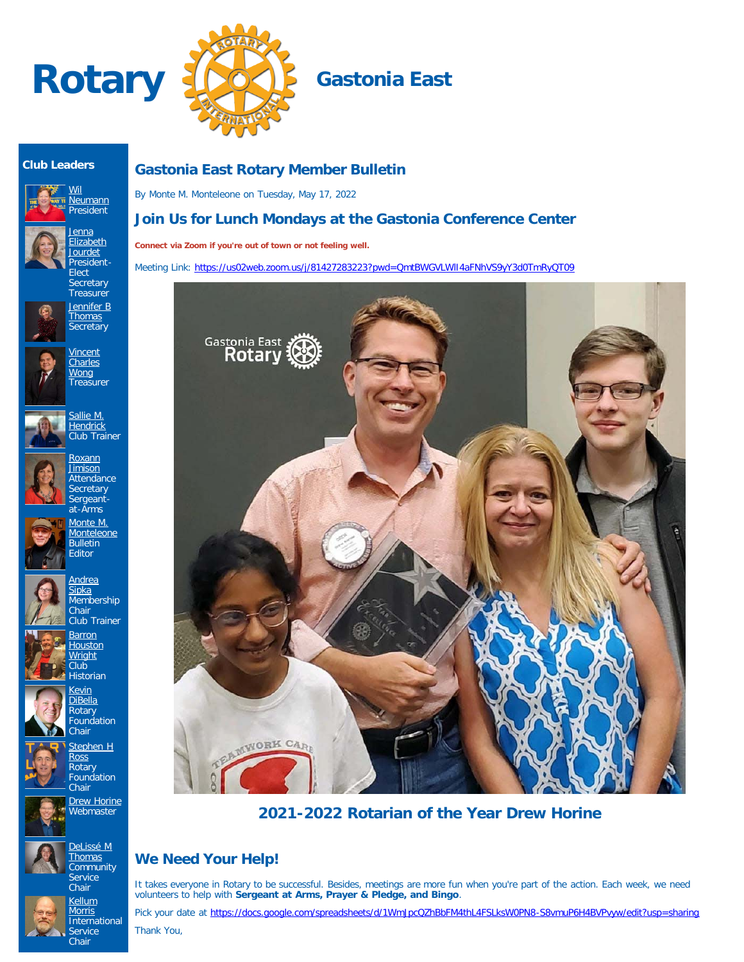



### **Club Leaders**





**Elect** Secretary **Treasurer** [Jennifer B](https://www.ismyrotaryclub.org/EMailer.cfm?ID=800611473) **[Thomas](https://www.ismyrotaryclub.org/EMailer.cfm?ID=800611473) Secretary** 

> **[Vincent](https://www.ismyrotaryclub.org/EMailer.cfm?ID=800608521) [Charles](https://www.ismyrotaryclub.org/EMailer.cfm?ID=800608521) [Wong](https://www.ismyrotaryclub.org/EMailer.cfm?ID=800608521)** Treasurer

<u>[Jenna](https://www.ismyrotaryclub.org/EMailer.cfm?ID=800780946)</u> [Elizabeth](https://www.ismyrotaryclub.org/EMailer.cfm?ID=800780946) [Jourdet](https://www.ismyrotaryclub.org/EMailer.cfm?ID=800780946) President-



[Sallie M.](https://www.ismyrotaryclub.org/EMailer.cfm?ID=800884505) **[Hendrick](https://www.ismyrotaryclub.org/EMailer.cfm?ID=800884505)** Club Trainer















Foundation Chair [Stephen H](https://www.ismyrotaryclub.org/EMailer.cfm?ID=800746516) [Ross](https://www.ismyrotaryclub.org/EMailer.cfm?ID=800746516) **Rotary Foundation Chair** 

> **[Drew Horine](https://www.ismyrotaryclub.org/EMailer.cfm?ID=800801377) Webmaster**









## **Gastonia East Rotary Member Bulletin**

By Monte M. Monteleone on Tuesday, May 17, 2022

## **Join Us for Lunch Mondays at the Gastonia Conference Center**

**Connect via Zoom if you're out of town or not feeling well.**

Meeting Link: https://us02web.zoom.us/j/81427283223?pwd=QmtBWGVLWII4aFNhVS9yY3d0TmRyQT09



**2021-2022 Rotarian of the Year Drew Horine**

# **We Need Your Help!**

It takes everyone in Rotary to be successful. Besides, meetings are more fun when you're part of the action. Each week, we need volunteers to help with **Sergeant at Arms, Prayer & Pledge, and Bingo**.

Pick your date at <https://docs.google.com/spreadsheets/d/1WmJpcQZhBbFM4thL4FSLksW0PN8-S8vmuP6H4BVPvyw/edit?usp=sharing>

Thank You,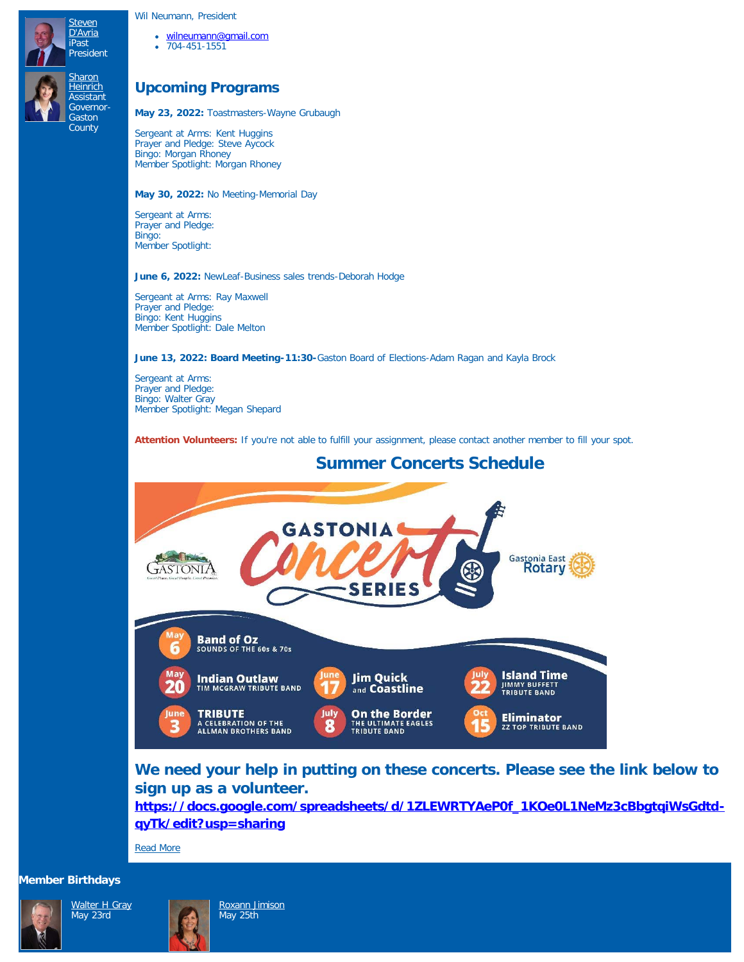Wil Neumann, President

- [wilneumann@gmail.com](mailto:wilneumann@gmail.com)
- 704-451-1551

## **Upcoming Programs**

**May 23, 2022:** Toastmasters-Wayne Grubaugh

Sergeant at Arms: Kent Huggins Prayer and Pledge: Steve Aycock Bingo: Morgan Rhoney Member Spotlight: Morgan Rhoney

**May 30, 2022:** No Meeting-Memorial Day

Sergeant at Arms: Prayer and Pledge: Bingo: Member Spotlight:

#### **June 6, 2022:** NewLeaf-Business sales trends-Deborah Hodge

Sergeant at Arms: Ray Maxwell Prayer and Pledge: Bingo: Kent Huggins Member Spotlight: Dale Melton

**June 13, 2022: Board Meeting-11:30-**Gaston Board of Elections-Adam Ragan and Kayla Brock

Sergeant at Arms: Prayer and Pledge: Bingo: Walter Gray Member Spotlight: Megan Shepard

Attention Volunteers: If you're not able to fulfill your assignment, please contact another member to fill your spot.



## **We need your help in putting on these concerts. Please see the link below to sign up as a volunteer.**

**[https://docs.google.com/spreadsheets/d/1ZLEWRTYAeP0f\\_1KOe0L1NeMz3cBbgtqiWsGdtd](https://docs.google.com/spreadsheets/d/1ZLEWRTYAeP0f_1KOe0L1NeMz3cBbgtqiWsGdtd-qyTk/edit?usp=sharing)[qyTk/edit?usp=sharing](https://docs.google.com/spreadsheets/d/1ZLEWRTYAeP0f_1KOe0L1NeMz3cBbgtqiWsGdtd-qyTk/edit?usp=sharing)**

[Read More](https://ismyrotaryclub.com/story/ezBulletinMore.cfm?StoryID=170006)

#### **Member Birthdays**

May 23rd





[Roxann Jimison](https://www.ismyrotaryclub.org/EMailer.cfm?ID=800904205) May 25th

**Summer Concerts Schedule**